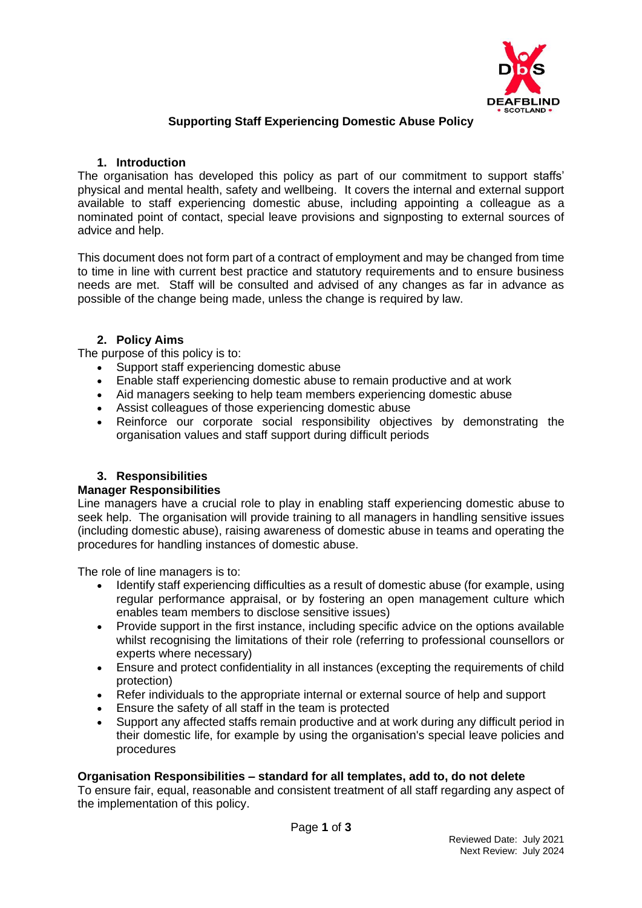

# **Supporting Staff Experiencing Domestic Abuse Policy**

### **1. Introduction**

The organisation has developed this policy as part of our commitment to support staffs' physical and mental health, safety and wellbeing. It covers the internal and external support available to staff experiencing domestic abuse, including appointing a colleague as a nominated point of contact, special leave provisions and signposting to external sources of advice and help.

This document does not form part of a contract of employment and may be changed from time to time in line with current best practice and statutory requirements and to ensure business needs are met. Staff will be consulted and advised of any changes as far in advance as possible of the change being made, unless the change is required by law.

### **2. Policy Aims**

The purpose of this policy is to:

- Support staff experiencing domestic abuse
- Enable staff experiencing domestic abuse to remain productive and at work
- Aid managers seeking to help team members experiencing domestic abuse
- Assist colleagues of those experiencing domestic abuse
- Reinforce our corporate social responsibility objectives by demonstrating the organisation values and staff support during difficult periods

# **3. Responsibilities**

#### **Manager Responsibilities**

Line managers have a crucial role to play in enabling staff experiencing domestic abuse to seek help. The organisation will provide training to all managers in handling sensitive issues (including domestic abuse), raising awareness of domestic abuse in teams and operating the procedures for handling instances of domestic abuse.

The role of line managers is to:

- Identify staff experiencing difficulties as a result of domestic abuse (for example, using regular performance appraisal, or by fostering an open management culture which enables team members to disclose sensitive issues)
- Provide support in the first instance, including specific advice on the options available whilst recognising the limitations of their role (referring to professional counsellors or experts where necessary)
- Ensure and protect confidentiality in all instances (excepting the requirements of child protection)
- Refer individuals to the appropriate internal or external source of help and support
- Ensure the safety of all staff in the team is protected
- Support any affected staffs remain productive and at work during any difficult period in their domestic life, for example by using the organisation's special leave policies and procedures

#### **Organisation Responsibilities – standard for all templates, add to, do not delete**

To ensure fair, equal, reasonable and consistent treatment of all staff regarding any aspect of the implementation of this policy.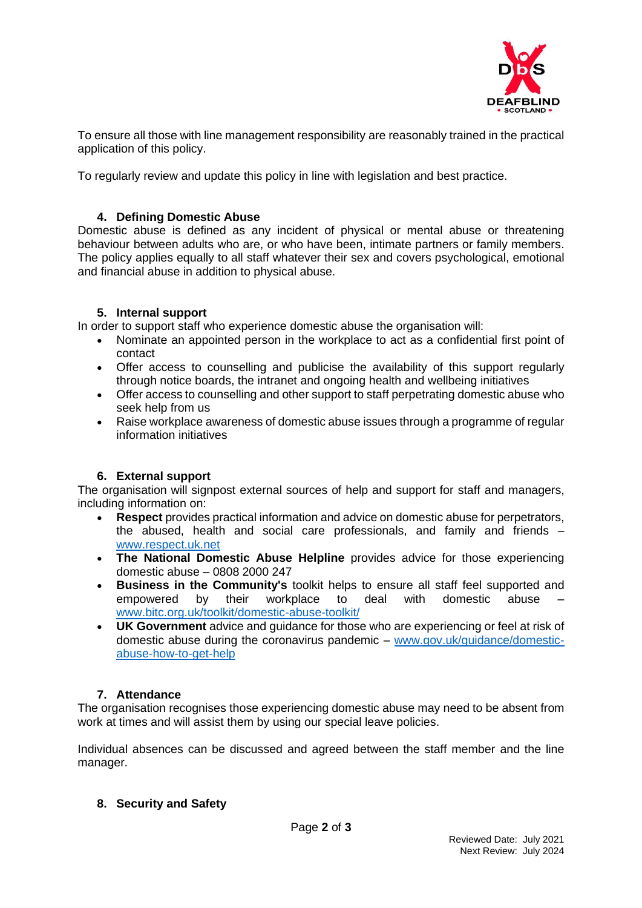

To ensure all those with line management responsibility are reasonably trained in the practical application of this policy.

To regularly review and update this policy in line with legislation and best practice.

## **4. Defining Domestic Abuse**

Domestic abuse is defined as any incident of physical or mental abuse or threatening behaviour between adults who are, or who have been, intimate partners or family members. The policy applies equally to all staff whatever their sex and covers psychological, emotional and financial abuse in addition to physical abuse.

### **5. Internal support**

In order to support staff who experience domestic abuse the organisation will:

- Nominate an appointed person in the workplace to act as a confidential first point of contact
- Offer access to counselling and publicise the availability of this support regularly through notice boards, the intranet and ongoing health and wellbeing initiatives
- Offer access to counselling and other support to staff perpetrating domestic abuse who seek help from us
- Raise workplace awareness of domestic abuse issues through a programme of regular information initiatives

# **6. External support**

The organisation will signpost external sources of help and support for staff and managers, including information on:

- **Respect** provides practical information and advice on domestic abuse for perpetrators, the abused, health and social care professionals, and family and friends – [www.respect.uk.net](http://www.respect.uk.net/)
- **The National Domestic Abuse Helpline** provides advice for those experiencing domestic abuse – 0808 2000 247
- **Business in the Community's** toolkit helps to ensure all staff feel supported and empowered by their workplace to deal with domestic abuse [www.bitc.org.uk/toolkit/domestic-abuse-toolkit/](http://www.bitc.org.uk/toolkit/domestic-abuse-toolkit/)
- **UK Government** advice and guidance for those who are experiencing or feel at risk of domestic abuse during the coronavirus pandemic – [www.gov.uk/guidance/domestic](http://www.gov.uk/guidance/domestic-abuse-how-to-get-help)[abuse-how-to-get-help](http://www.gov.uk/guidance/domestic-abuse-how-to-get-help)

# **7. Attendance**

The organisation recognises those experiencing domestic abuse may need to be absent from work at times and will assist them by using our special leave policies.

Individual absences can be discussed and agreed between the staff member and the line manager.

### **8. Security and Safety**